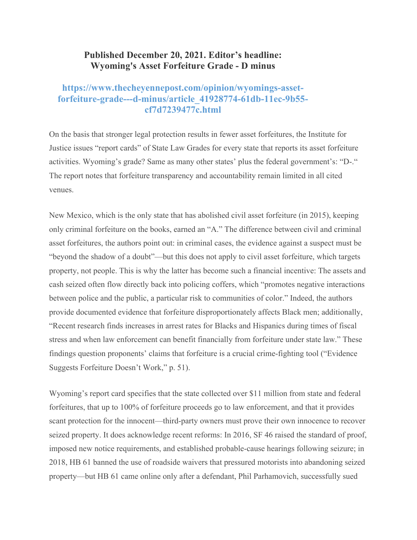## **Published December 20, 2021. Editor's headline: Wyoming's Asset Forfeiture Grade - D minus**

## **https://www.thecheyennepost.com/opinion/wyomings-assetforfeiture-grade---d-minus/article\_41928774-61db-11ec-9b55 cf7d7239477c.html**

On the basis that stronger legal protection results in fewer asset forfeitures, the Institute for Justice issues "report cards" of State Law Grades for every state that reports its asset forfeiture activities. Wyoming's grade? Same as many other states' plus the federal government's: "D-." The report notes that forfeiture transparency and accountability remain limited in all cited venues.

New Mexico, which is the only state that has abolished civil asset forfeiture (in 2015), keeping only criminal forfeiture on the books, earned an "A." The difference between civil and criminal asset forfeitures, the authors point out: in criminal cases, the evidence against a suspect must be "beyond the shadow of a doubt"—but this does not apply to civil asset forfeiture, which targets property, not people. This is why the latter has become such a financial incentive: The assets and cash seized often flow directly back into policing coffers, which "promotes negative interactions between police and the public, a particular risk to communities of color." Indeed, the authors provide documented evidence that forfeiture disproportionately affects Black men; additionally, "Recent research finds increases in arrest rates for Blacks and Hispanics during times of fiscal stress and when law enforcement can benefit financially from forfeiture under state law." These findings question proponents' claims that forfeiture is a crucial crime-fighting tool ("Evidence Suggests Forfeiture Doesn't Work," p. 51).

Wyoming's report card specifies that the state collected over \$11 million from state and federal forfeitures, that up to 100% of forfeiture proceeds go to law enforcement, and that it provides scant protection for the innocent—third-party owners must prove their own innocence to recover seized property. It does acknowledge recent reforms: In 2016, SF 46 raised the standard of proof, imposed new notice requirements, and established probable-cause hearings following seizure; in 2018, HB 61 banned the use of roadside waivers that pressured motorists into abandoning seized property—but HB 61 came online only after a defendant, Phil Parhamovich, successfully sued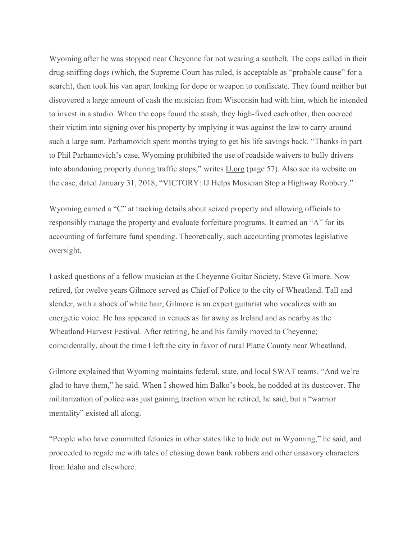Wyoming after he was stopped near Cheyenne for not wearing a seatbelt. The cops called in their drug-sniffing dogs (which, the Supreme Court has ruled, is acceptable as "probable cause" for a search), then took his van apart looking for dope or weapon to confiscate. They found neither but discovered a large amount of cash the musician from Wisconsin had with him, which he intended to invest in a studio. When the cops found the stash, they high-fived each other, then coerced their victim into signing over his property by implying it was against the law to carry around such a large sum. Parhamovich spent months trying to get his life savings back. "Thanks in part to Phil Parhamovich's case, Wyoming prohibited the use of roadside waivers to bully drivers into abandoning property during traffic stops," writes IJ.org (page 57). Also see its website on the case, dated January 31, 2018, "VICTORY: IJ Helps Musician Stop a Highway Robbery."

Wyoming earned a "C" at tracking details about seized property and allowing officials to responsibly manage the property and evaluate forfeiture programs. It earned an "A" for its accounting of forfeiture fund spending. Theoretically, such accounting promotes legislative oversight.

I asked questions of a fellow musician at the Cheyenne Guitar Society, Steve Gilmore. Now retired, for twelve years Gilmore served as Chief of Police to the city of Wheatland. Tall and slender, with a shock of white hair, Gilmore is an expert guitarist who vocalizes with an energetic voice. He has appeared in venues as far away as Ireland and as nearby as the Wheatland Harvest Festival. After retiring, he and his family moved to Cheyenne; coincidentally, about the time I left the city in favor of rural Platte County near Wheatland.

Gilmore explained that Wyoming maintains federal, state, and local SWAT teams. "And we're glad to have them," he said. When I showed him Balko's book, he nodded at its dustcover. The militarization of police was just gaining traction when he retired, he said, but a "warrior mentality" existed all along.

"People who have committed felonies in other states like to hide out in Wyoming," he said, and proceeded to regale me with tales of chasing down bank robbers and other unsavory characters from Idaho and elsewhere.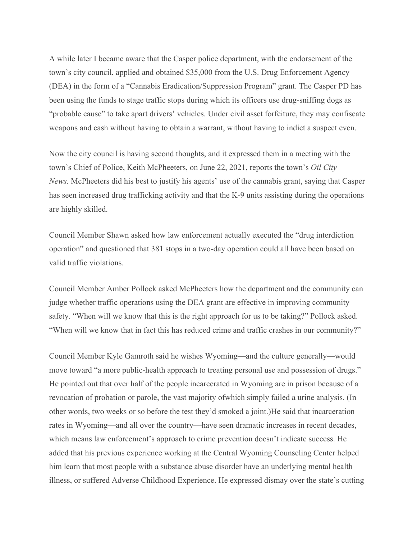A while later I became aware that the Casper police department, with the endorsement of the town's city council, applied and obtained \$35,000 from the U.S. Drug Enforcement Agency (DEA) in the form of a "Cannabis Eradication/Suppression Program" grant. The Casper PD has been using the funds to stage traffic stops during which its officers use drug-sniffing dogs as "probable cause" to take apart drivers' vehicles. Under civil asset forfeiture, they may confiscate weapons and cash without having to obtain a warrant, without having to indict a suspect even.

Now the city council is having second thoughts, and it expressed them in a meeting with the town's Chief of Police, Keith McPheeters, on June 22, 2021, reports the town's *Oil City News.* McPheeters did his best to justify his agents' use of the cannabis grant, saying that Casper has seen increased drug trafficking activity and that the K-9 units assisting during the operations are highly skilled.

Council Member Shawn asked how law enforcement actually executed the "drug interdiction operation" and questioned that 381 stops in a two-day operation could all have been based on valid traffic violations.

Council Member Amber Pollock asked McPheeters how the department and the community can judge whether traffic operations using the DEA grant are effective in improving community safety. "When will we know that this is the right approach for us to be taking?" Pollock asked. "When will we know that in fact this has reduced crime and traffic crashes in our community?"

Council Member Kyle Gamroth said he wishes Wyoming—and the culture generally—would move toward "a more public-health approach to treating personal use and possession of drugs." He pointed out that over half of the people incarcerated in Wyoming are in prison because of a revocation of probation or parole, the vast majority ofwhich simply failed a urine analysis. (In other words, two weeks or so before the test they'd smoked a joint.)He said that incarceration rates in Wyoming—and all over the country—have seen dramatic increases in recent decades, which means law enforcement's approach to crime prevention doesn't indicate success. He added that his previous experience working at the Central Wyoming Counseling Center helped him learn that most people with a substance abuse disorder have an underlying mental health illness, or suffered Adverse Childhood Experience. He expressed dismay over the state's cutting